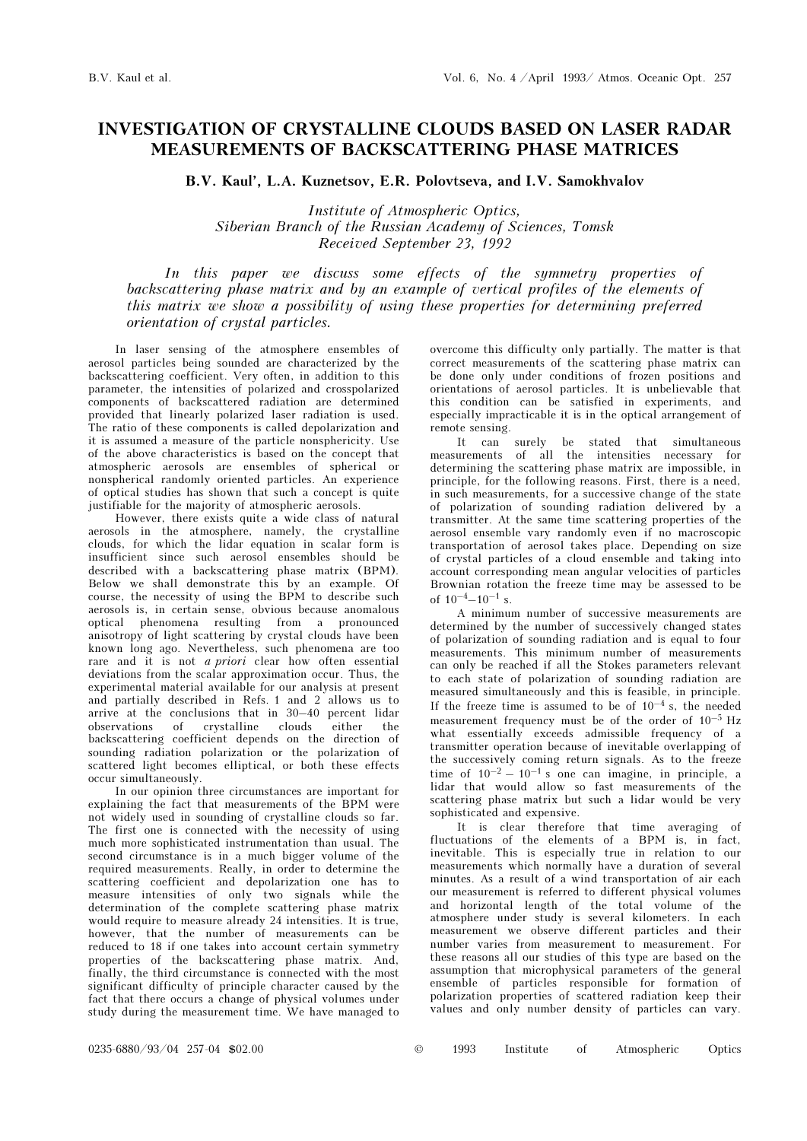## INVESTIGATION OF CRYSTALLINE CLOUDS BASED ON LASER RADAR MEASUREMENTS OF BACKSCATTERING PHASE MATRICES

B.V. Kaul', L.A. Kuznetsov, E.R. Polovtseva, and I.V. Samokhvalov

Institute of Atmospheric Optics, Siberian Branch of the Russian Academy of Sciences, Tomsk Received September 23, 1992

In this paper we discuss some effects of the symmetry properties of backscattering phase matrix and by an example of vertical profiles of the elements of this matrix we show a possibility of using these properties for determining preferred orientation of crystal particles.

In laser sensing of the atmosphere ensembles of aerosol particles being sounded are characterized by the backscattering coefficient. Very often, in addition to this parameter, the intensities of polarized and crosspolarized components of backscattered radiation are determined provided that linearly polarized laser radiation is used. The ratio of these components is called depolarization and it is assumed a measure of the particle nonsphericity. Use of the above characteristics is based on the concept that atmospheric aerosols are ensembles of spherical or nonspherical randomly oriented particles. An experience of optical studies has shown that such a concept is quite justifiable for the majority of atmospheric aerosols.

However, there exists quite a wide class of natural aerosols in the atmosphere, namely, the crystalline clouds, for which the lidar equation in scalar form is insufficient since such aerosol ensembles should be described with a backscattering phase matrix (BPM). Below we shall demonstrate this by an example. Of course, the necessity of using the BPM to describe such aerosols is, in certain sense, obvious because anomalous optical phenomena resulting from a pronounced anisotropy of light scattering by crystal clouds have been known long ago. Nevertheless, such phenomena are too rare and it is not *a priori* clear how often essential deviations from the scalar approximation occur. Thus, the experimental material available for our analysis at present and partially described in Refs. 1 and 2 allows us to arrive at the conclusions that in 30–40 percent lidar observations of crystalline clouds either the backscattering coefficient depends on the direction of sounding radiation polarization or the polarization of scattered light becomes elliptical, or both these effects occur simultaneously.

In our opinion three circumstances are important for explaining the fact that measurements of the BPM were not widely used in sounding of crystalline clouds so far. The first one is connected with the necessity of using much more sophisticated instrumentation than usual. The second circumstance is in a much bigger volume of the required measurements. Really, in order to determine the scattering coefficient and depolarization one has to measure intensities of only two signals while the determination of the complete scattering phase matrix would require to measure already 24 intensities. It is true, however, that the number of measurements can be reduced to 18 if one takes into account certain symmetry properties of the backscattering phase matrix. And, finally, the third circumstance is connected with the most significant difficulty of principle character caused by the fact that there occurs a change of physical volumes under study during the measurement time. We have managed to overcome this difficulty only partially. The matter is that correct measurements of the scattering phase matrix can be done only under conditions of frozen positions and orientations of aerosol particles. It is unbelievable that this condition can be satisfied in experiments, and especially impracticable it is in the optical arrangement of remote sensing.

It can surely be stated that simultaneous measurements of all the intensities necessary for determining the scattering phase matrix are impossible, in principle, for the following reasons. First, there is a need, in such measurements, for a successive change of the state of polarization of sounding radiation delivered by a transmitter. At the same time scattering properties of the aerosol ensemble vary randomly even if no macroscopic transportation of aerosol takes place. Depending on size of crystal particles of a cloud ensemble and taking into account corresponding mean angular velocities of particles Brownian rotation the freeze time may be assessed to be of  $10^{-4} - 10^{-1}$  s.

A minimum number of successive measurements are determined by the number of successively changed states of polarization of sounding radiation and is equal to four measurements. This minimum number of measurements can only be reached if all the Stokes parameters relevant to each state of polarization of sounding radiation are measured simultaneously and this is feasible, in principle. If the freeze time is assumed to be of  $10^{-4}$  s, the needed measurement frequency must be of the order of  $10^{-5}$  Hz what essentially exceeds admissible frequency of a transmitter operation because of inevitable overlapping of the successively coming return signals. As to the freeze time of  $10^{-2} - 10^{-1}$  s one can imagine, in principle, a lidar that would allow so fast measurements of the scattering phase matrix but such a lidar would be very sophisticated and expensive.

It is clear therefore that time averaging of fluctuations of the elements of a BPM is, in fact, inevitable. This is especially true in relation to our measurements which normally have a duration of several minutes. As a result of a wind transportation of air each our measurement is referred to different physical volumes and horizontal length of the total volume of the atmosphere under study is several kilometers. In each measurement we observe different particles and their number varies from measurement to measurement. For these reasons all our studies of this type are based on the assumption that microphysical parameters of the general ensemble of particles responsible for formation of polarization properties of scattered radiation keep their values and only number density of particles can vary.

0235-6880/93/04 257-04 \$02.00 © 1993 Institute of Atmospheric Optics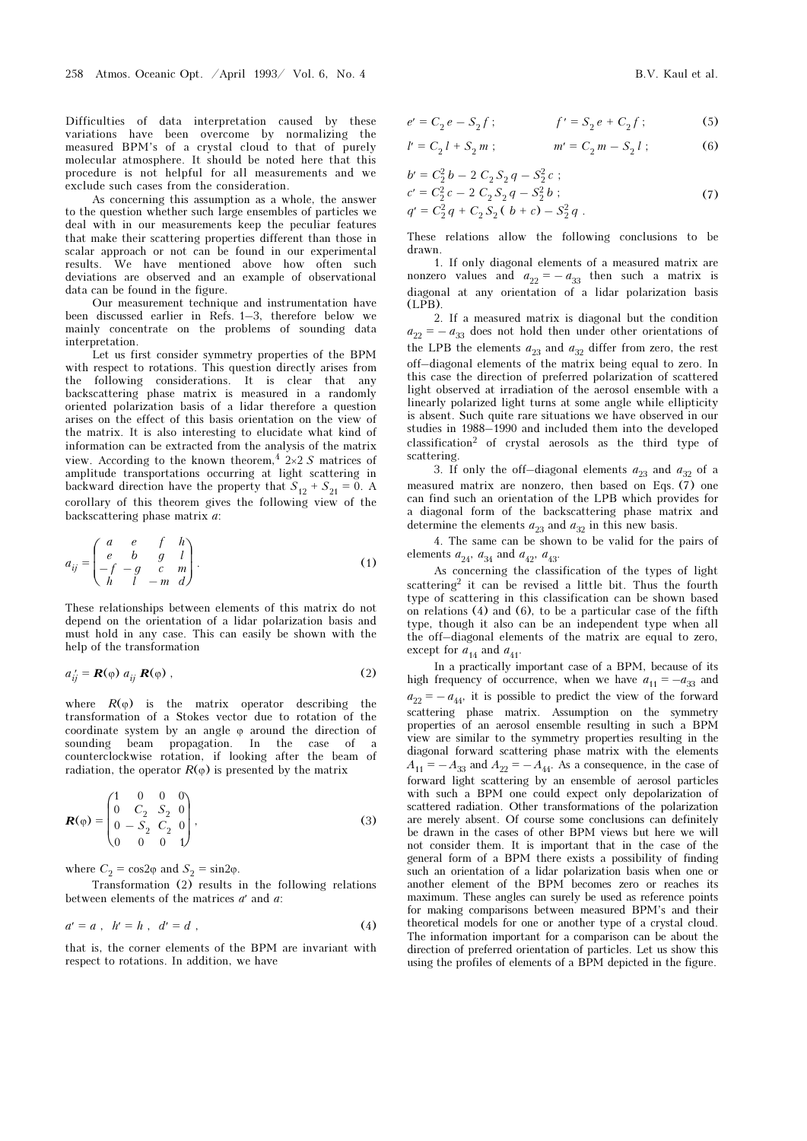Difficulties of data interpretation caused by these variations have been overcome by normalizing the measured BPM's of a crystal cloud to that of purely molecular atmosphere. It should be noted here that this procedure is not helpful for all measurements and we exclude such cases from the consideration.

As concerning this assumption as a whole, the answer to the question whether such large ensembles of particles we deal with in our measurements keep the peculiar features that make their scattering properties different than those in scalar approach or not can be found in our experimental results. We have mentioned above how often such deviations are observed and an example of observational data can be found in the figure.

Our measurement technique and instrumentation have been discussed earlier in Refs. 1–3, therefore below we mainly concentrate on the problems of sounding data interpretation.

Let us first consider symmetry properties of the BPM with respect to rotations. This question directly arises from the following considerations. It is clear that any backscattering phase matrix is measured in a randomly oriented polarization basis of a lidar therefore a question arises on the effect of this basis orientation on the view of the matrix. It is also interesting to elucidate what kind of information can be extracted from the analysis of the matrix view. According to the known theorem,  $4 \frac{2 \times 2}{S}$  matrices of amplitude transportations occurring at light scattering in backward direction have the property that  $S_{12} + S_{21} = 0$ . A corollary of this theorem gives the following view of the backscattering phase matrix a:

$$
a_{ij} = \begin{pmatrix} a & e & f & h \\ e & b & g & l \\ -f & -g & c & m \\ h & l & -m & d \end{pmatrix}.
$$
 (1)

These relationships between elements of this matrix do not depend on the orientation of a lidar polarization basis and must hold in any case. This can easily be shown with the help of the transformation

$$
a'_{ij} = \mathbf{R}(\varphi) \; a_{ij} \; \mathbf{R}(\varphi) \; , \tag{2}
$$

where  $R(\varphi)$  is the matrix operator describing the transformation of a Stokes vector due to rotation of the coordinate system by an angle ϕ around the direction of sounding beam propagation. In the case of counterclockwise rotation, if looking after the beam of radiation, the operator  $R(\varphi)$  is presented by the matrix

$$
\mathbf{R}(\varphi) = \begin{pmatrix} 1 & 0 & 0 & 0 \\ 0 & C_2 & S_2 & 0 \\ 0 & -S_2 & C_2 & 0 \\ 0 & 0 & 0 & 1 \end{pmatrix},
$$
(3)

where  $C_2 = \cos 2\varphi$  and  $S_2 = \sin 2\varphi$ .

Transformation (2) results in the following relations between elements of the matrices  $a'$  and  $a$ :

$$
a' = a \, , \, h' = h \, , \, d' = d \, , \tag{4}
$$

that is, the corner elements of the BPM are invariant with respect to rotations. In addition, we have

$$
e' = C_2 e - S_2 f; \qquad f' = S_2 e + C_2 f; \qquad (5)
$$

$$
l' = C_2 l + S_2 m ; \t m' = C_2 m - S_2 l ; \t (6)
$$

$$
b' = C_2^2 b - 2 C_2 S_2 q - S_2^2 c ;
$$
  
\n
$$
c' = C_2^2 c - 2 C_2 S_2 q - S_2^2 b ;
$$
  
\n
$$
q' = C_2^2 q + C_2 S_2 (b + c) - S_2^2 q .
$$
\n(7)

These relations allow the following conclusions to be drawn.

1. If only diagonal elements of a measured matrix are nonzero values and  $a_{22} = -a_{33}$  then such a matrix is diagonal at any orientation of a lidar polarization basis  $(LPB)$ .

2. If a measured matrix is diagonal but the condition  $a_{22} = -a_{33}$  does not hold then under other orientations of the LPB the elements  $a_{23}$  and  $a_{32}$  differ from zero, the rest off–diagonal elements of the matrix being equal to zero. In this case the direction of preferred polarization of scattered light observed at irradiation of the aerosol ensemble with a linearly polarized light turns at some angle while ellipticity is absent. Such quite rare situations we have observed in our studies in 1988–1990 and included them into the developed classification2 of crystal aerosols as the third type of scattering.

3. If only the off-diagonal elements  $a_{23}$  and  $a_{32}$  of a measured matrix are nonzero, then based on Eqs. (7) one can find such an orientation of the LPB which provides for a diagonal form of the backscattering phase matrix and determine the elements  $a_{23}$  and  $a_{32}$  in this new basis.

4. The same can be shown to be valid for the pairs of elements  $a_{24}$ ,  $a_{34}$  and  $a_{42}$ ,  $a_{43}$ .

As concerning the classification of the types of light scattering<sup>2</sup> it can be revised a little bit. Thus the fourth type of scattering in this classification can be shown based on relations (4) and (6), to be a particular case of the fifth type, though it also can be an independent type when all the off–diagonal elements of the matrix are equal to zero, except for  $a_{14}$  and  $a_{41}.$ 

In a practically important case of a BPM, because of its high frequency of occurrence, when we have  $a_{11} = -a_{33}$  and  $a_{22} = -a_{44}$ , it is possible to predict the view of the forward scattering phase matrix. Assumption on the symmetry properties of an aerosol ensemble resulting in such a BPM view are similar to the symmetry properties resulting in the diagonal forward scattering phase matrix with the elements  $A_{11} = -A_{33}$  and  $A_{22} = -A_{44}$ . As a consequence, in the case of forward light scattering by an ensemble of aerosol particles with such a BPM one could expect only depolarization of scattered radiation. Other transformations of the polarization are merely absent. Of course some conclusions can definitely be drawn in the cases of other BPM views but here we will not consider them. It is important that in the case of the general form of a BPM there exists a possibility of finding such an orientation of a lidar polarization basis when one or another element of the BPM becomes zero or reaches its maximum. These angles can surely be used as reference points for making comparisons between measured BPM's and their theoretical models for one or another type of a crystal cloud. The information important for a comparison can be about the direction of preferred orientation of particles. Let us show this using the profiles of elements of a BPM depicted in the figure.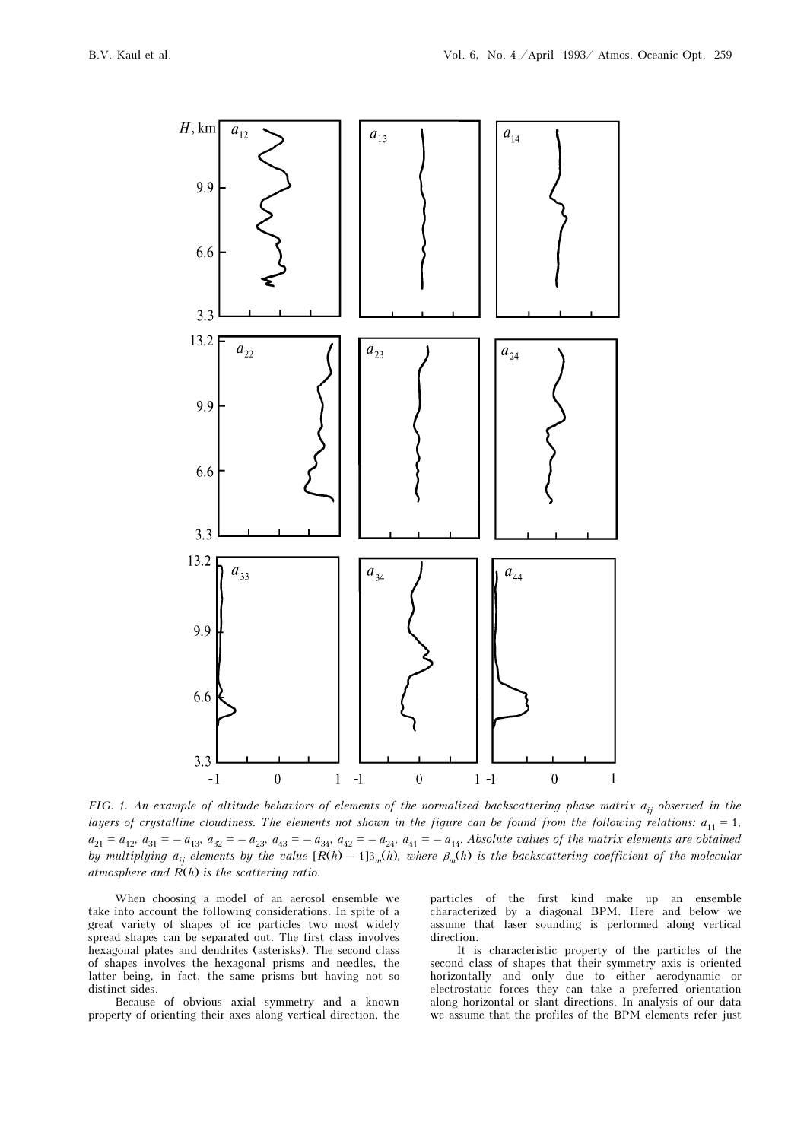

FIG. 1. An example of altitude behaviors of elements of the normalized backscattering phase matrix  $a_{ij}$  observed in the layers of crystalline cloudiness. The elements not shown in the figure can be found from the following relations:  $a_{11} = 1$ ,  $a_{21} = a_{12}, a_{31} = -a_{13}, a_{32} = -a_{23}, a_{43} = -a_{34}, a_{42} = -a_{24}, a_{41} = -a_{14}$ . Absolute values of the matrix elements are obtained by multiplying  $a_{ij}$  elements by the value  $[R(h) - 1]\beta_m(h)$ , where  $\beta_m(h)$  is the backscattering coefficient of the molecular atmosphere and  $\overline{R}(h)$  is the scattering ratio.

When choosing a model of an aerosol ensemble we take into account the following considerations. In spite of a great variety of shapes of ice particles two most widely spread shapes can be separated out. The first class involves hexagonal plates and dendrites (asterisks). The second class of shapes involves the hexagonal prisms and needles, the latter being, in fact, the same prisms but having not so distinct sides.

Because of obvious axial symmetry and a known property of orienting their axes along vertical direction, the particles of the first kind make up an ensemble characterized by a diagonal BPM. Here and below we assume that laser sounding is performed along vertical direction.

It is characteristic property of the particles of the second class of shapes that their symmetry axis is oriented horizontally and only due to either aerodynamic or electrostatic forces they can take a preferred orientation along horizontal or slant directions. In analysis of our data we assume that the profiles of the BPM elements refer just